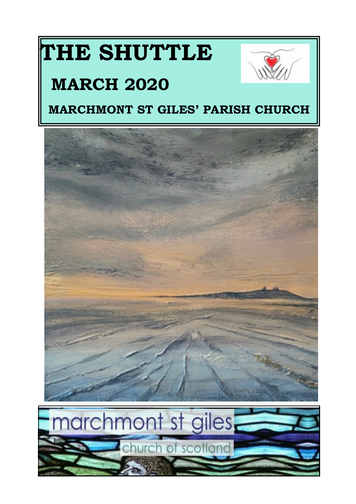# **THE SHUTTLE**



# **MARCH 2020**

# **MARCHMONT ST GILES' PARISH CHURCH**

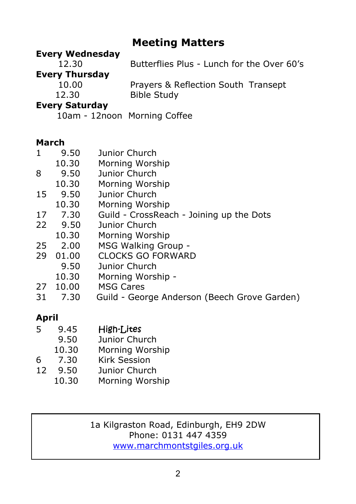# **Meeting Matters**

#### **Every Wednesday**

 12.30 Butterflies Plus - Lunch for the Over 60's **Every Thursday** 10.00 Prayers & Reflection South Transept 12.30 Bible Study

#### **Every Saturday**

10am - 12noon Morning Coffee

#### **March**

- 1 9.50 Junior Church<br>10.30 Morning Worsl
- Morning Worship
- 8 9.50 Junior Church
- 10.30 Morning Worship
- 15 9.50 Junior Church
- 10.30 Morning Worship
- 17 7.30 Guild CrossReach Joining up the Dots
- 22 9.50 Junior Church
- 10.30 Morning Worship
- 25 2.00 MSG Walking Group -<br>29 01.00 CLOCKS GO FORWAR
- CLOCKS GO FORWARD
	- 9.50 Junior Church
		- 10.30 Morning Worship -
- 27 10.00 MSG Cares
- 31 7.30 Guild George Anderson (Beech Grove Garden)

#### **April**

- 5 9.45 High-Lites
- 9.50 Junior Church
- 10.30 Morning Worship
- 6 7.30 Kirk Session<br>12 9.50 Junior Churc
- 12 9.50 Junior Church
	- 10.30 Morning Worship

#### 1a Kilgraston Road, Edinburgh, EH9 2DW Phone: 0131 447 4359 <www.marchmontstgiles.org.uk>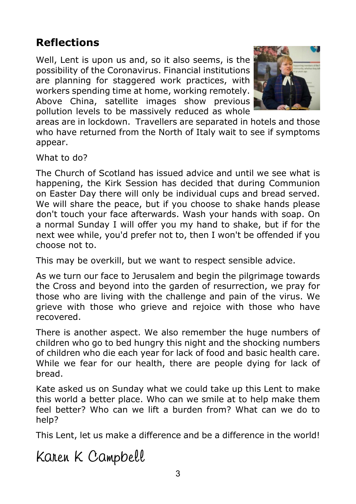# **Reflections**

Well, Lent is upon us and, so it also seems, is the possibility of the Coronavirus. Financial institutions are planning for staggered work practices, with workers spending time at home, working remotely. Above China, satellite images show previous pollution levels to be massively reduced as whole



areas are in lockdown. Travellers are separated in hotels and those who have returned from the North of Italy wait to see if symptoms appear.

What to do?

The Church of Scotland has issued advice and until we see what is happening, the Kirk Session has decided that during Communion on Easter Day there will only be individual cups and bread served. We will share the peace, but if you choose to shake hands please don't touch your face afterwards. Wash your hands with soap. On a normal Sunday I will offer you my hand to shake, but if for the next wee while, you'd prefer not to, then I won't be offended if you choose not to.

This may be overkill, but we want to respect sensible advice.

As we turn our face to Jerusalem and begin the pilgrimage towards the Cross and beyond into the garden of resurrection, we pray for those who are living with the challenge and pain of the virus. We grieve with those who grieve and rejoice with those who have recovered.

There is another aspect. We also remember the huge numbers of children who go to bed hungry this night and the shocking numbers of children who die each year for lack of food and basic health care. While we fear for our health, there are people dying for lack of bread.

Kate asked us on Sunday what we could take up this Lent to make this world a better place. Who can we smile at to help make them feel better? Who can we lift a burden from? What can we do to help?

This Lent, let us make a difference and be a difference in the world!

Karen K Campbell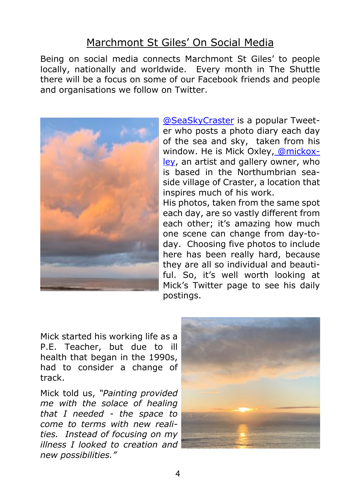#### Marchmont St Giles' On Social Media

Being on social media connects Marchmont St Giles' to people locally, nationally and worldwide. Every month in The Shuttle there will be a focus on some of our Facebook friends and people and organisations we follow on Twitter.



[@SeaSkyCraster](mailto:@SeaSkyCraster.) is a popular Tweeter who posts a photo diary each day of the sea and sky, taken from his window. He is Mick Oxley, [@mickox](mailto:@mickoxley.)[ley](mailto:@mickoxley.), an artist and gallery owner, who is based in the Northumbrian seaside village of Craster, a location that inspires much of his work.

His photos, taken from the same spot each day, are so vastly different from each other; it's amazing how much one scene can change from day-today. Choosing five photos to include here has been really hard, because they are all so individual and beautiful. So, it's well worth looking at Mick's Twitter page to see his daily postings.

Mick started his working life as a P.E. Teacher, but due to ill health that began in the 1990s, had to consider a change of track.

Mick told us, *"Painting provided me with the solace of healing that I needed - the space to come to terms with new realities. Instead of focusing on my illness I looked to creation and new possibilities."*

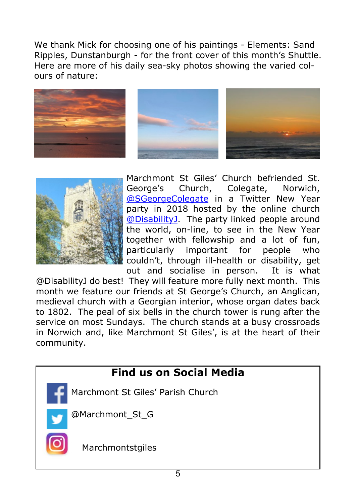We thank Mick for choosing one of his paintings - Elements: Sand Ripples, Dunstanburgh - for the front cover of this month's Shuttle. Here are more of his daily sea-sky photos showing the varied colours of nature:









Marchmont St Giles' Church befriended St. George's Church, Colegate, Norwich, [@SGeorgeColegate](mailto:@Sgeorgecolegate.) in a Twitter New Year party in 2018 hosted by the online church [@DisabilityJ](mailto:@DisabilityJ.). The party linked people around the world, on-line, to see in the New Year together with fellowship and a lot of fun, particularly important for people who couldn't, through ill-health or disability, get out and socialise in person. It is what

@DisabilityJ do best! They will feature more fully next month. This month we feature our friends at St George's Church, an Anglican, medieval church with a Georgian interior, whose organ dates back to 1802. The peal of six bells in the church tower is rung after the service on most Sundays. The church stands at a busy crossroads in Norwich and, like Marchmont St Giles', is at the heart of their community.

# **Find us on Social Media**

- Marchmont St Giles' Parish Church
- @Marchmont\_St\_G



Marchmontstgiles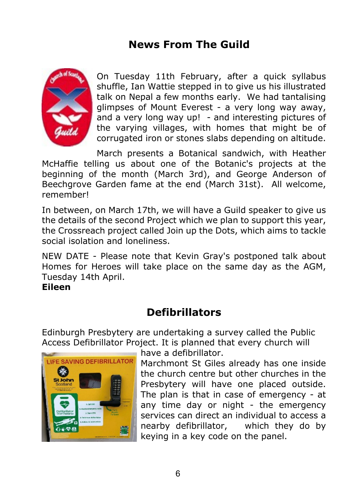# **News From The Guild**



On Tuesday 11th February, after a quick syllabus shuffle, Ian Wattie stepped in to give us his illustrated talk on Nepal a few months early. We had tantalising glimpses of Mount Everest - a very long way away, and a very long way up! - and interesting pictures of the varying villages, with homes that might be of corrugated iron or stones slabs depending on altitude.

March presents a Botanical sandwich, with Heather McHaffie telling us about one of the Botanic's projects at the beginning of the month (March 3rd), and George Anderson of Beechgrove Garden fame at the end (March 31st). All welcome, remember!

In between, on March 17th, we will have a Guild speaker to give us the details of the second Project which we plan to support this year, the Crossreach project called Join up the Dots, which aims to tackle social isolation and loneliness.

NEW DATE - Please note that Kevin Gray's postponed talk about Homes for Heroes will take place on the same day as the AGM, Tuesday 14th April.

**Eileen**

# **Defibrillators**

Edinburgh Presbytery are undertaking a survey called the Public Access Defibrillator Project. It is planned that every church will



have a defibrillator.

Marchmont St Giles already has one inside the church centre but other churches in the Presbytery will have one placed outside. The plan is that in case of emergency - at any time day or night - the emergency services can direct an individual to access a nearby defibrillator, which they do by keying in a key code on the panel.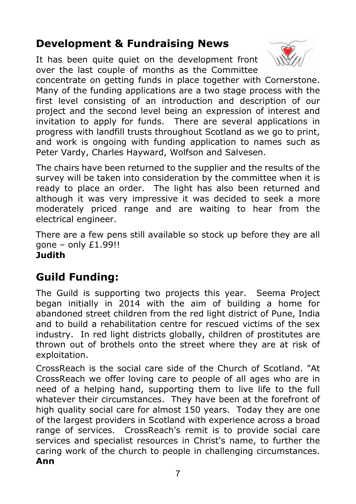# **Development & Fundraising News**

It has been quite quiet on the development front over the last couple of months as the Committee



concentrate on getting funds in place together with Cornerstone. Many of the funding applications are a two stage process with the first level consisting of an introduction and description of our project and the second level being an expression of interest and invitation to apply for funds. There are several applications in progress with landfill trusts throughout Scotland as we go to print, and work is ongoing with funding application to names such as Peter Vardy, Charles Hayward, Wolfson and Salvesen.

The chairs have been returned to the supplier and the results of the survey will be taken into consideration by the committee when it is ready to place an order. The light has also been returned and although it was very impressive it was decided to seek a more moderately priced range and are waiting to hear from the electrical engineer.

There are a few pens still available so stock up before they are all gone – only  $£1.99!!$ **Judith**

# **Guild Funding:**

The Guild is supporting two projects this year. Seema Project began initially in 2014 with the aim of building a home for abandoned street children from the red light district of Pune, India and to build a rehabilitation centre for rescued victims of the sex industry. In red light districts globally, children of prostitutes are thrown out of brothels onto the street where they are at risk of exploitation.

CrossReach is the social care side of the Church of Scotland. "At CrossReach we offer loving care to people of all ages who are in need of a helping hand, supporting them to live life to the full whatever their circumstances. They have been at the forefront of high quality social care for almost 150 years. Today they are one of the largest providers in Scotland with experience across a broad range of services. CrossReach's remit is to provide social care services and specialist resources in Christ's name, to further the caring work of the church to people in challenging circumstances. **Ann**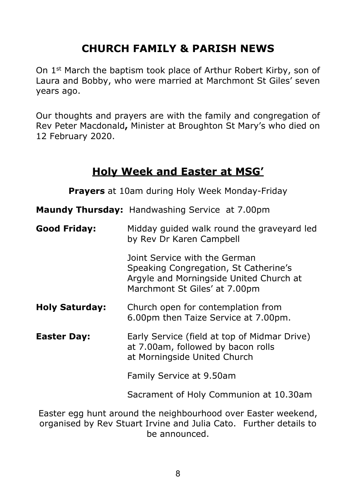## **CHURCH FAMILY & PARISH NEWS**

On 1st March the baptism took place of Arthur Robert Kirby, son of Laura and Bobby, who were married at Marchmont St Giles' seven years ago.

Our thoughts and prayers are with the family and congregation of Rev Peter Macdonald**,** Minister at Broughton St Mary's who died on 12 February 2020.

#### **Holy Week and Easter at MSG'**

**Prayers** at 10am during Holy Week Monday-Friday

**Maundy Thursday:** Handwashing Service at 7.00pm

**Good Friday:** Midday guided walk round the graveyard led by Rev Dr Karen Campbell Joint Service with the German Speaking Congregation, St Catherine's Argyle and Morningside United Church at Marchmont St Giles' at 7.00pm **Holy Saturday:** Church open for contemplation from 6.00pm then Taize Service at 7.00pm. **Easter Day:** Early Service (field at top of Midmar Drive) at 7.00am, followed by bacon rolls at Morningside United Church

Family Service at 9.50am

Sacrament of Holy Communion at 10.30am

Easter egg hunt around the neighbourhood over Easter weekend, organised by Rev Stuart Irvine and Julia Cato. Further details to be announced.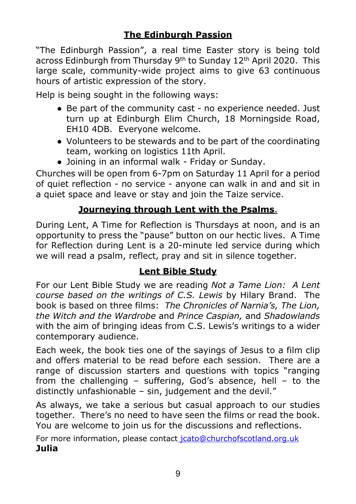"The Edinburgh Passion", a real time Easter story is being told across Edinburgh from Thursday 9th to Sunday 12th April 2020. This large scale, community-wide project aims to give 63 continuous hours of artistic expression of the story.

Help is being sought in the following ways:

- Be part of the community cast no experience needed. Just turn up at Edinburgh Elim Church, 18 Morningside Road, EH10 4DB. Everyone welcome.
- Volunteers to be stewards and to be part of the coordinating team, working on logistics 11th April.
- Joining in an informal walk Friday or Sunday.

Churches will be open from 6-7pm on Saturday 11 April for a period of quiet reflection - no service - anyone can walk in and and sit in a quiet space and leave or stay and join the Taize service.

#### **Journeying through Lent with the Psalms**.

During Lent, A Time for Reflection is Thursdays at noon, and is an opportunity to press the "pause" button on our hectic lives. A Time for Reflection during Lent is a 20-minute led service during which we will read a psalm, reflect, pray and sit in silence together.

#### **Lent Bible Study**

For our Lent Bible Study we are reading *Not a Tame Lion: A Lent course based on the writings of C.S. Lewis* by Hilary Brand. The book is based on three films: *The Chronicles of Narnia's, The Lion, the Witch and the Wardrobe* and *Prince Caspian,* and *Shadowlands* with the aim of bringing ideas from C.S. Lewis's writings to a wider contemporary audience.

Each week, the book ties one of the sayings of Jesus to a film clip and offers material to be read before each session. There are a range of discussion starters and questions with topics "ranging from the challenging – suffering, God's absence, hell – to the distinctly unfashionable – sin, judgement and the devil."

As always, we take a serious but casual approach to our studies together. There's no need to have seen the films or read the book. You are welcome to join us for the discussions and reflections.

For more information, please contac[t jcato@churchofscotland.org.uk](mailto:jcato@churchofscotland.org.uk) **Julia**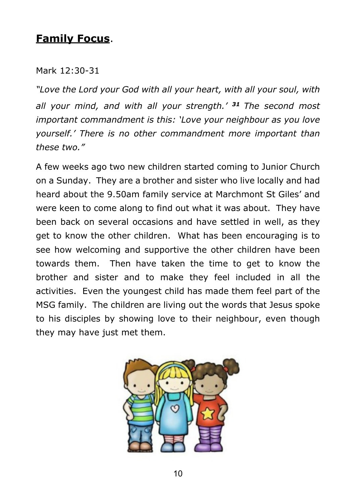## **Family Focus**.

#### Mark 12:30-31

*"Love the Lord your God with all your heart, with all your soul, with all your mind, and with all your strength.' <sup>31</sup> The second most important commandment is this: 'Love your neighbour as you love yourself.' There is no other commandment more important than these two."*

A few weeks ago two new children started coming to Junior Church on a Sunday. They are a brother and sister who live locally and had heard about the 9.50am family service at Marchmont St Giles' and were keen to come along to find out what it was about. They have been back on several occasions and have settled in well, as they get to know the other children. What has been encouraging is to see how welcoming and supportive the other children have been towards them. Then have taken the time to get to know the brother and sister and to make they feel included in all the activities. Even the youngest child has made them feel part of the MSG family. The children are living out the words that Jesus spoke to his disciples by showing love to their neighbour, even though they may have just met them.

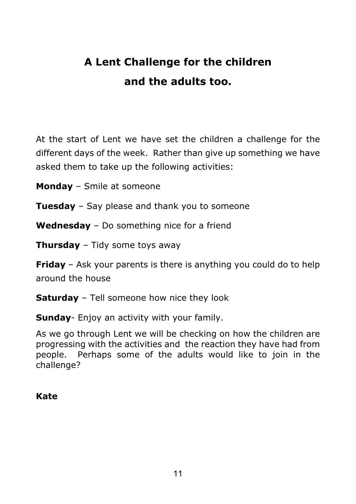# **A Lent Challenge for the children and the adults too.**

At the start of Lent we have set the children a challenge for the different days of the week. Rather than give up something we have asked them to take up the following activities:

**Monday** – Smile at someone

**Tuesday** – Say please and thank you to someone

**Wednesday** – Do something nice for a friend

**Thursday** – Tidy some toys away

**Friday** – Ask your parents is there is anything you could do to help around the house

**Saturday** – Tell someone how nice they look

**Sunday**- Enjoy an activity with your family.

As we go through Lent we will be checking on how the children are progressing with the activities and the reaction they have had from people. Perhaps some of the adults would like to join in the challenge?

#### **Kate**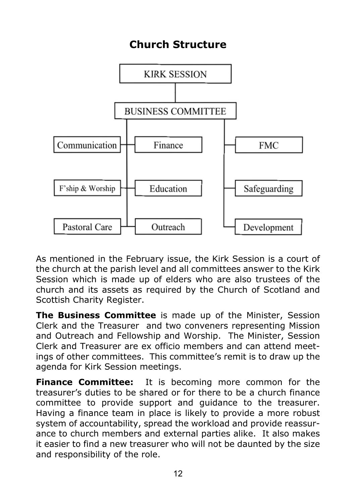# **Church Structure**



As mentioned in the February issue, the Kirk Session is a court of the church at the parish level and all committees answer to the Kirk Session which is made up of elders who are also trustees of the church and its assets as required by the Church of Scotland and Scottish Charity Register.

**The Business Committee** is made up of the Minister, Session Clerk and the Treasurer and two conveners representing Mission and Outreach and Fellowship and Worship. The Minister, Session Clerk and Treasurer are ex officio members and can attend meetings of other committees. This committee's remit is to draw up the agenda for Kirk Session meetings.

**Finance Committee:** It is becoming more common for the treasurer's duties to be shared or for there to be a church finance committee to provide support and guidance to the treasurer. Having a finance team in place is likely to provide a more robust system of accountability, spread the workload and provide reassurance to church members and external parties alike. It also makes it easier to find a new treasurer who will not be daunted by the size and responsibility of the role.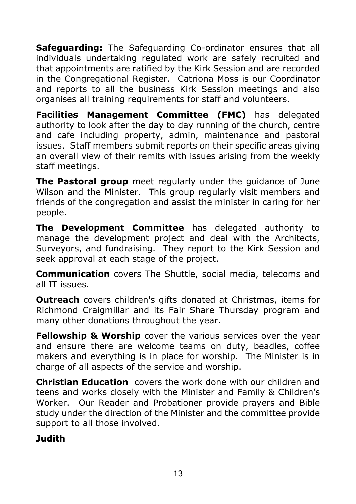**Safeguarding:** The Safeguarding Co-ordinator ensures that all individuals undertaking regulated work are safely recruited and that appointments are ratified by the Kirk Session and are recorded in the Congregational Register. Catriona Moss is our Coordinator and reports to all the business Kirk Session meetings and also organises all training requirements for staff and volunteers.

**Facilities Management Committee (FMC)** has delegated authority to look after the day to day running of the church, centre and cafe including property, admin, maintenance and pastoral issues. Staff members submit reports on their specific areas giving an overall view of their remits with issues arising from the weekly staff meetings.

**The Pastoral group** meet regularly under the guidance of June Wilson and the Minister. This group regularly visit members and friends of the congregation and assist the minister in caring for her people.

**The Development Committee** has delegated authority to manage the development project and deal with the Architects, Surveyors, and fundraising. They report to the Kirk Session and seek approval at each stage of the project.

**Communication** covers The Shuttle, social media, telecoms and all IT issues.

**Outreach** covers children's gifts donated at Christmas, items for Richmond Craigmillar and its Fair Share Thursday program and many other donations throughout the year.

**Fellowship & Worship** cover the various services over the year and ensure there are welcome teams on duty, beadles, coffee makers and everything is in place for worship. The Minister is in charge of all aspects of the service and worship.

**Christian Education** covers the work done with our children and teens and works closely with the Minister and Family & Children's Worker. Our Reader and Probationer provide prayers and Bible study under the direction of the Minister and the committee provide support to all those involved.

#### **Judith**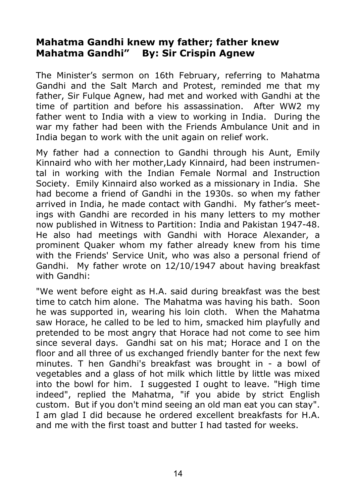#### **Mahatma Gandhi knew my father; father knew Mahatma Gandhi" By: Sir Crispin Agnew**

The Minister's sermon on 16th February, referring to Mahatma Gandhi and the Salt March and Protest, reminded me that my father, Sir Fulque Agnew, had met and worked with Gandhi at the time of partition and before his assassination. After WW2 my father went to India with a view to working in India. During the war my father had been with the Friends Ambulance Unit and in India began to work with the unit again on relief work.

My father had a connection to Gandhi through his Aunt, Emily Kinnaird who with her mother,Lady Kinnaird, had been instrumental in working with the Indian Female Normal and Instruction Society. Emily Kinnaird also worked as a missionary in India. She had become a friend of Gandhi in the 1930s. so when my father arrived in India, he made contact with Gandhi. My father's meetings with Gandhi are recorded in his many letters to my mother now published in Witness to Partition: India and Pakistan 1947-48. He also had meetings with Gandhi with Horace Alexander, a prominent Quaker whom my father already knew from his time with the Friends' Service Unit, who was also a personal friend of Gandhi. My father wrote on 12/10/1947 about having breakfast with Gandhi:

"We went before eight as H.A. said during breakfast was the best time to catch him alone. The Mahatma was having his bath. Soon he was supported in, wearing his loin cloth. When the Mahatma saw Horace, he called to be led to him, smacked him playfully and pretended to be most angry that Horace had not come to see him since several days. Gandhi sat on his mat; Horace and I on the floor and all three of us exchanged friendly banter for the next few minutes. T hen Gandhi's breakfast was brought in - a bowl of vegetables and a glass of hot milk which little by little was mixed into the bowl for him. I suggested I ought to leave. "High time indeed", replied the Mahatma, "if you abide by strict English custom. But if you don't mind seeing an old man eat you can stay". I am glad I did because he ordered excellent breakfasts for H.A. and me with the first toast and butter I had tasted for weeks.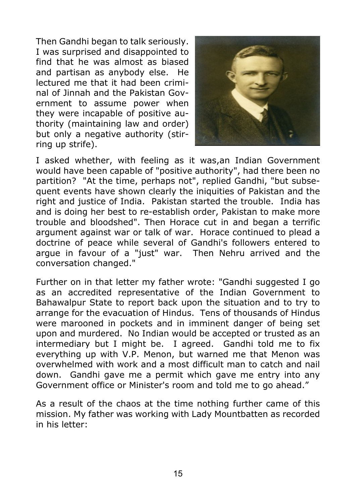Then Gandhi began to talk seriously. I was surprised and disappointed to find that he was almost as biased and partisan as anybody else. He lectured me that it had been criminal of Jinnah and the Pakistan Government to assume power when they were incapable of positive authority (maintaining law and order) but only a negative authority (stirring up strife).



I asked whether, with feeling as it was,an Indian Government would have been capable of "positive authority", had there been no partition? "At the time, perhaps not", replied Gandhi, "but subsequent events have shown clearly the iniquities of Pakistan and the right and justice of India. Pakistan started the trouble. India has and is doing her best to re-establish order, Pakistan to make more trouble and bloodshed". Then Horace cut in and began a terrific argument against war or talk of war. Horace continued to plead a doctrine of peace while several of Gandhi's followers entered to argue in favour of a "just" war. Then Nehru arrived and the conversation changed."

Further on in that letter my father wrote: "Gandhi suggested I go as an accredited representative of the Indian Government to Bahawalpur State to report back upon the situation and to try to arrange for the evacuation of Hindus. Tens of thousands of Hindus were marooned in pockets and in imminent danger of being set upon and murdered. No Indian would be accepted or trusted as an intermediary but I might be. I agreed. Gandhi told me to fix everything up with V.P. Menon, but warned me that Menon was overwhelmed with work and a most difficult man to catch and nail down. Gandhi gave me a permit which gave me entry into any Government office or Minister's room and told me to go ahead."

As a result of the chaos at the time nothing further came of this mission. My father was working with Lady Mountbatten as recorded in his letter: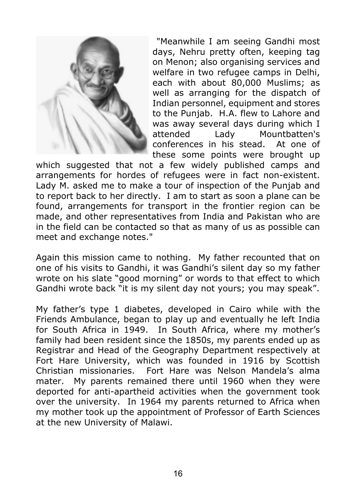

 "Meanwhile I am seeing Gandhi most days, Nehru pretty often, keeping tag on Menon; also organising services and welfare in two refugee camps in Delhi, each with about 80,000 Muslims; as well as arranging for the dispatch of Indian personnel, equipment and stores to the Punjab. H.A. flew to Lahore and was away several days during which I attended Lady Mountbatten's conferences in his stead. At one of these some points were brought up

which suggested that not a few widely published camps and arrangements for hordes of refugees were in fact non-existent. Lady M. asked me to make a tour of inspection of the Punjab and to report back to her directly. I am to start as soon a plane can be found, arrangements for transport in the frontier region can be made, and other representatives from India and Pakistan who are in the field can be contacted so that as many of us as possible can meet and exchange notes."

Again this mission came to nothing. My father recounted that on one of his visits to Gandhi, it was Gandhi's silent day so my father wrote on his slate "good morning" or words to that effect to which Gandhi wrote back "it is my silent day not yours; you may speak".

My father's type 1 diabetes, developed in Cairo while with the Friends Ambulance, began to play up and eventually he left India for South Africa in 1949. In South Africa, where my mother's family had been resident since the 1850s, my parents ended up as Registrar and Head of the Geography Department respectively at Fort Hare University, which was founded in 1916 by Scottish Christian missionaries. Fort Hare was Nelson Mandela's alma mater. My parents remained there until 1960 when they were deported for anti-apartheid activities when the government took over the university. In 1964 my parents returned to Africa when my mother took up the appointment of Professor of Earth Sciences at the new University of Malawi.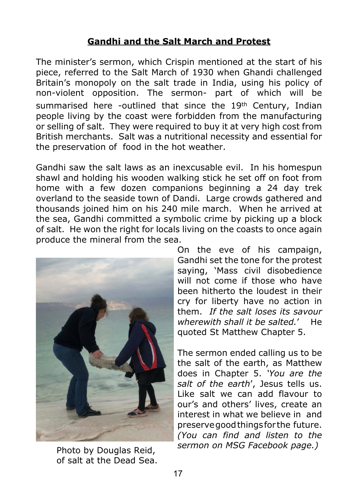#### **Gandhi and the Salt March and Protest**

The minister's sermon, which Crispin mentioned at the start of his piece, referred to the Salt March of 1930 when Ghandi challenged Britain's monopoly on the salt trade in India, using his policy of non-violent opposition. The sermon- part of which will be summarised here -outlined that since the 19<sup>th</sup> Century, Indian people living by the coast were forbidden from the manufacturing or selling of salt. They were required to buy it at very high cost from British merchants. Salt was a nutritional necessity and essential for the preservation of food in the hot weather.

Gandhi saw the salt laws as an inexcusable evil. In his homespun shawl and holding his wooden walking stick he set off on foot from home with a few dozen companions beginning a 24 day trek overland to the seaside town of Dandi. Large crowds gathered and thousands joined him on his 240 mile march. When he arrived at the sea, Gandhi committed a symbolic crime by picking up a block of salt. He won the right for locals living on the coasts to once again produce the mineral from the sea.



Photo by Douglas Reid, of salt at the Dead Sea.

On the eve of his campaign, Gandhi set the tone for the protest saying, 'Mass civil disobedience will not come if those who have been hitherto the loudest in their cry for liberty have no action in them. *If the salt loses its savour wherewith shall it be salted.*' He quoted St Matthew Chapter 5.

The sermon ended calling us to be the salt of the earth, as Matthew does in Chapter 5. *'You are the salt of the earth*', Jesus tells us. Like salt we can add flavour to our's and others' lives, create an interest in what we believe in and preserve good things for the future. *(You can find and listen to the sermon on MSG Facebook page.)*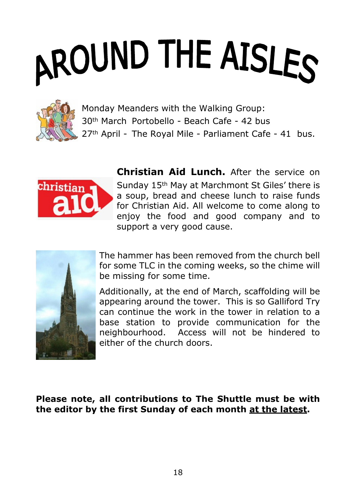# AROUND THE AISLES



Monday Meanders with the Walking Group: 30th March Portobello - Beach Cafe - 42 bus 27<sup>th</sup> April - The Royal Mile - Parliament Cafe - 41 bus.



**Christian Aid Lunch.** After the service on Sunday 15th May at Marchmont St Giles' there is a soup, bread and cheese lunch to raise funds for Christian Aid. All welcome to come along to enjoy the food and good company and to support a very good cause.



The hammer has been removed from the church bell for some TLC in the coming weeks, so the chime will be missing for some time.

Additionally, at the end of March, scaffolding will be appearing around the tower. This is so Galliford Try can continue the work in the tower in relation to a base station to provide communication for the neighbourhood. Access will not be hindered to either of the church doors.

**Please note, all contributions to The Shuttle must be with the editor by the first Sunday of each month at the latest.**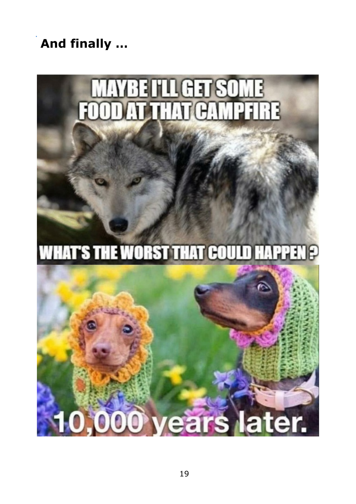**And finally …**